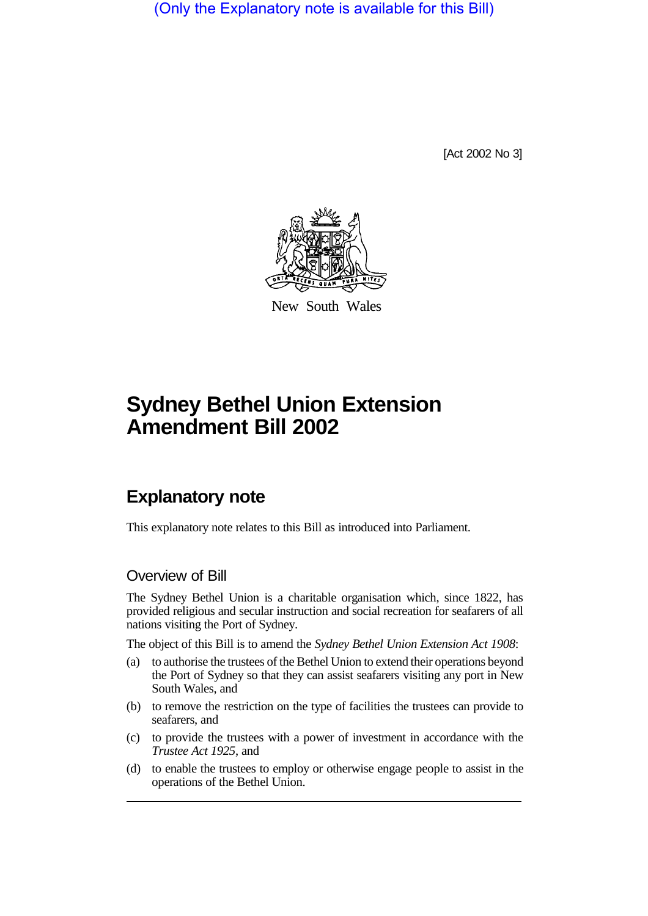(Only the Explanatory note is available for this Bill)

[Act 2002 No 3]



New South Wales

# **Sydney Bethel Union Extension Amendment Bill 2002**

# **Explanatory note**

This explanatory note relates to this Bill as introduced into Parliament.

#### Overview of Bill

The Sydney Bethel Union is a charitable organisation which, since 1822, has provided religious and secular instruction and social recreation for seafarers of all nations visiting the Port of Sydney.

The object of this Bill is to amend the *Sydney Bethel Union Extension Act 1908*:

- (a) to authorise the trustees of the Bethel Union to extend their operations beyond the Port of Sydney so that they can assist seafarers visiting any port in New South Wales, and
- (b) to remove the restriction on the type of facilities the trustees can provide to seafarers, and
- (c) to provide the trustees with a power of investment in accordance with the *Trustee Act 1925*, and
- (d) to enable the trustees to employ or otherwise engage people to assist in the operations of the Bethel Union.